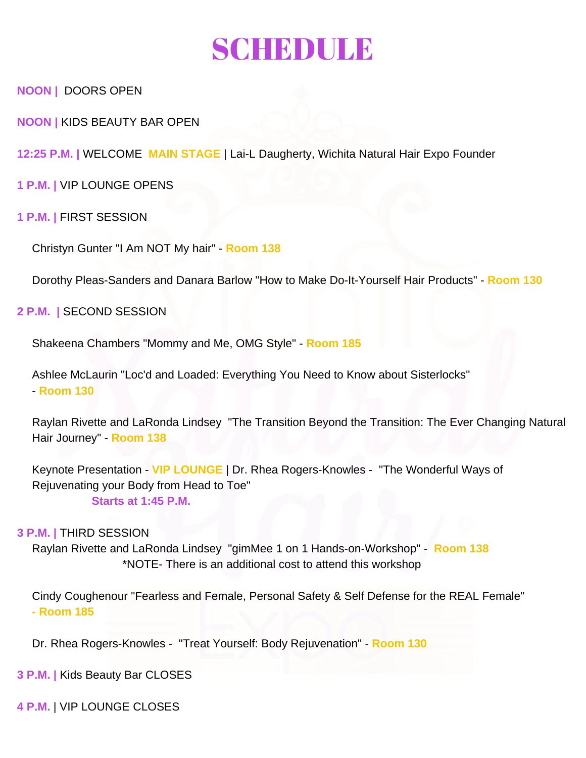# SCHEDULE

**NOON |** DOORS OPEN

**NOON |** KIDS BEAUTY BAR OPEN

**12:25 P.M. |** WELCOME **MAIN STAGE** | Lai-L Daugherty, Wichita Natural Hair Expo Founder

**1 P.M. |** VIP LOUNGE OPENS

### **1 P.M. |** FIRST SESSION

Christyn Gunter "I Am NOT My hair" - **Room 138**

Dorothy Pleas-Sanders and Danara Barlow "How to Make Do-It-Yourself Hair Products" - **Room 130**

#### **2 P.M. |** SECOND SESSION

Shakeena Chambers "Mommy and Me, OMG Style" - **Room 185**

Ashlee McLaurin "Loc'd and Loaded: Everything You Need to Know about Sisterlocks" - **Room 130**

Raylan Rivette and LaRonda Lindsey "The Transition Beyond the Transition: The Ever Changing Natural Hair Journey" - **Room 138**

Keynote Presentation - **VIP LOUNGE** | Dr. Rhea Rogers-Knowles - "The Wonderful Ways of Rejuvenating your Body from Head to Toe" **Starts at 1:45 P.M.**

#### **3 P.M. |** THIRD SESSION

Raylan Rivette and LaRonda Lindsey "gimMee 1 on 1 Hands-on-Workshop" - **Room 138**  \*NOTE- There is an additional cost to attend this workshop

Cindy Coughenour "Fearless and Female, Personal Safety & Self Defense for the REAL Female" **- Room 185**

Dr. Rhea Rogers-Knowles - "Treat Yourself: Body Rejuvenation" - **Room 130**

**3 P.M. |** Kids Beauty Bar CLOSES

**4 P.M.** | VIP LOUNGE CLOSES